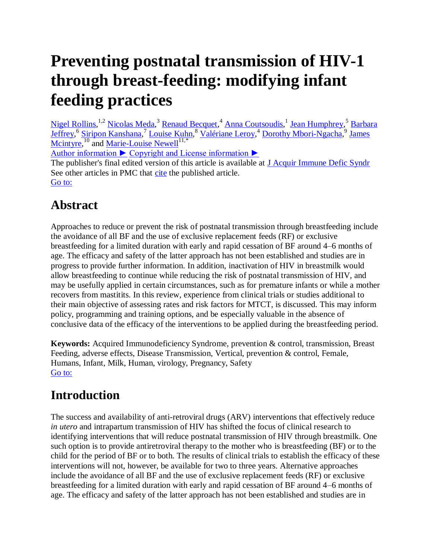# **Preventing postnatal transmission of HIV-1 through breast-feeding: modifying infant feeding practices**

[Nigel Rollins,](http://hinari-gw.who.int/whalecomwww.ncbi.nlm.nih.gov/whalecom0/pubmed/?term=Rollins%20N%5Bauth%5D)<sup>1,2</sup> [Nicolas Meda,](http://hinari-gw.who.int/whalecomwww.ncbi.nlm.nih.gov/whalecom0/pubmed/?term=Meda%20N%5Bauth%5D)<sup>3</sup> [Renaud Becquet,](http://hinari-gw.who.int/whalecomwww.ncbi.nlm.nih.gov/whalecom0/pubmed/?term=Becquet%20R%5Bauth%5D)<sup>4</sup> [Anna Coutsoudis,](http://hinari-gw.who.int/whalecomwww.ncbi.nlm.nih.gov/whalecom0/pubmed/?term=Coutsoudis%20A%5Bauth%5D)<sup>1</sup> [Jean Humphrey,](http://hinari-gw.who.int/whalecomwww.ncbi.nlm.nih.gov/whalecom0/pubmed/?term=Humphrey%20J%5Bauth%5D)<sup>5</sup> Barbara [Jeffrey,](http://hinari-gw.who.int/whalecomwww.ncbi.nlm.nih.gov/whalecom0/pubmed/?term=Jeffrey%20B%5Bauth%5D) <sup>6</sup> [Siripon Kanshana,](http://hinari-gw.who.int/whalecomwww.ncbi.nlm.nih.gov/whalecom0/pubmed/?term=Kanshana%20S%5Bauth%5D)<sup>7</sup> [Louise Kuhn,](http://hinari-gw.who.int/whalecomwww.ncbi.nlm.nih.gov/whalecom0/pubmed/?term=Kuhn%20L%5Bauth%5D) <sup>8</sup> [Valériane Leroy,](http://hinari-gw.who.int/whalecomwww.ncbi.nlm.nih.gov/whalecom0/pubmed/?term=Leroy%20V%5Bauth%5D) <sup>4</sup> [Dorothy Mbori-Ngacha,](http://hinari-gw.who.int/whalecomwww.ncbi.nlm.nih.gov/whalecom0/pubmed/?term=Mbori-Ngacha%20D%5Bauth%5D) <sup>9</sup> James [Mcintyre,](http://hinari-gw.who.int/whalecomwww.ncbi.nlm.nih.gov/whalecom0/pubmed/?term=Mcintyre%20J%5Bauth%5D) <sup>10</sup> and [Marie-Louise Newell](http://hinari-gw.who.int/whalecomwww.ncbi.nlm.nih.gov/whalecom0/pubmed/?term=Newell%20ML%5Bauth%5D)<sup>11,\*</sup>

[Author information ►](http://hinari-gw.who.int/whalecomwww.ncbi.nlm.nih.gov/whalecom0/pmc/articles/PMC2475579/) [Copyright and License information ►](http://hinari-gw.who.int/whalecomwww.ncbi.nlm.nih.gov/whalecom0/pmc/articles/PMC2475579/)

The publisher's final edited version of this article is available at **J** Acquir Immune Defic Syndr See other articles in PMC that [cite](http://hinari-gw.who.int/whalecomwww.ncbi.nlm.nih.gov/whalecom0/pmc/articles/PMC2475579/citedby/) the published article. [Go to:](http://hinari-gw.who.int/whalecomwww.ncbi.nlm.nih.gov/whalecom0/pmc/articles/PMC2475579/)

## **Abstract**

Approaches to reduce or prevent the risk of postnatal transmission through breastfeeding include the avoidance of all BF and the use of exclusive replacement feeds (RF) or exclusive breastfeeding for a limited duration with early and rapid cessation of BF around 4–6 months of age. The efficacy and safety of the latter approach has not been established and studies are in progress to provide further information. In addition, inactivation of HIV in breastmilk would allow breastfeeding to continue while reducing the risk of postnatal transmission of HIV, and may be usefully applied in certain circumstances, such as for premature infants or while a mother recovers from mastitits. In this review, experience from clinical trials or studies additional to their main objective of assessing rates and risk factors for MTCT, is discussed. This may inform policy, programming and training options, and be especially valuable in the absence of conclusive data of the efficacy of the interventions to be applied during the breastfeeding period.

**Keywords:** Acquired Immunodeficiency Syndrome, prevention & control, transmission, Breast Feeding, adverse effects, Disease Transmission, Vertical, prevention & control, Female, Humans, Infant, Milk, Human, virology, Pregnancy, Safety [Go to:](http://hinari-gw.who.int/whalecomwww.ncbi.nlm.nih.gov/whalecom0/pmc/articles/PMC2475579/)

# **Introduction**

The success and availability of anti-retroviral drugs (ARV) interventions that effectively reduce *in utero* and intrapartum transmission of HIV has shifted the focus of clinical research to identifying interventions that will reduce postnatal transmission of HIV through breastmilk. One such option is to provide antiretroviral therapy to the mother who is breastfeeding (BF) or to the child for the period of BF or to both. The results of clinical trials to establish the efficacy of these interventions will not, however, be available for two to three years. Alternative approaches include the avoidance of all BF and the use of exclusive replacement feeds (RF) or exclusive breastfeeding for a limited duration with early and rapid cessation of BF around 4–6 months of age. The efficacy and safety of the latter approach has not been established and studies are in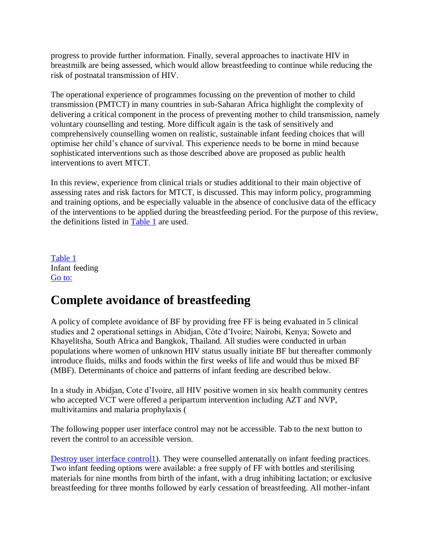progress to provide further information. Finally, several approaches to inactivate HIV in breastmilk are being assessed, which would allow breastfeeding to continue while reducing the risk of postnatal transmission of HIV.

The operational experience of programmes focussing on the prevention of mother to child transmission (PMTCT) in many countries in sub-Saharan Africa highlight the complexity of delivering a critical component in the process of preventing mother to child transmission, namely voluntary counselling and testing. More difficult again is the task of sensitively and comprehensively counselling women on realistic, sustainable infant feeding choices that will optimise her child's chance of survival. This experience needs to be borne in mind because sophisticated interventions such as those described above are proposed as public health interventions to avert MTCT.

In this review, experience from clinical trials or studies additional to their main objective of assessing rates and risk factors for MTCT, is discussed. This may inform policy, programming and training options, and be especially valuable in the absence of conclusive data of the efficacy of the interventions to be applied during the breastfeeding period. For the purpose of this review, the definitions listed in [Table 1](http://hinari-gw.who.int/whalecomwww.ncbi.nlm.nih.gov/whalecom0/pmc/articles/PMC2475579/table/T1/) are used.

[Table 1](http://hinari-gw.who.int/whalecomwww.ncbi.nlm.nih.gov/whalecom0/pmc/articles/PMC2475579/table/T1/) Infant feeding [Go to:](http://hinari-gw.who.int/whalecomwww.ncbi.nlm.nih.gov/whalecom0/pmc/articles/PMC2475579/)

### **Complete avoidance of breastfeeding**

A policy of complete avoidance of BF by providing free FF is being evaluated in 5 clinical studies and 2 operational settings in Abidjan, Côte d'Ivoire; Nairobi, Kenya; Soweto and Khayelitsha, South Africa and Bangkok, Thailand. All studies were conducted in urban populations where women of unknown HIV status usually initiate BF but thereafter commonly introduce fluids, milks and foods within the first weeks of life and would thus be mixed BF (MBF). Determinants of choice and patterns of infant feeding are described below.

In a study in Abidjan, Cote d'Ivoire, all HIV positive women in six health community centres who accepted VCT were offered a peripartum intervention including AZT and NVP, multivitamins and malaria prophylaxis (

The following popper user interface control may not be accessible. Tab to the next button to revert the control to an accessible version.

[Destroy user interface control1\)](http://hinari-gw.who.int/whalecomwww.ncbi.nlm.nih.gov/whalecom0/pmc/articles/PMC2475579/). They were counselled antenatally on infant feeding practices. Two infant feeding options were available: a free supply of FF with bottles and sterilising materials for nine months from birth of the infant, with a drug inhibiting lactation; or exclusive breastfeeding for three months followed by early cessation of breastfeeding. All mother-infant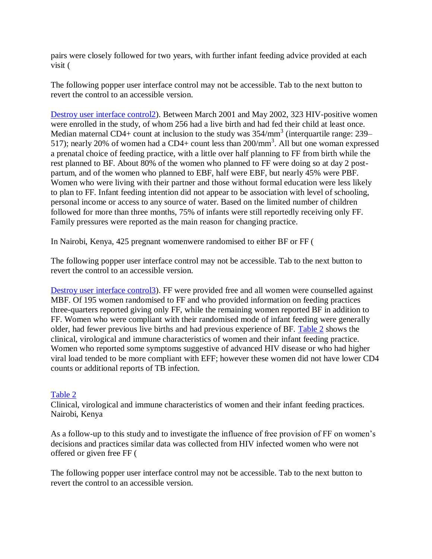pairs were closely followed for two years, with further infant feeding advice provided at each visit (

The following popper user interface control may not be accessible. Tab to the next button to revert the control to an accessible version.

[Destroy user interface control2\)](http://hinari-gw.who.int/whalecomwww.ncbi.nlm.nih.gov/whalecom0/pmc/articles/PMC2475579/). Between March 2001 and May 2002, 323 HIV-positive women were enrolled in the study, of whom 256 had a live birth and had fed their child at least once. Median maternal CD4+ count at inclusion to the study was  $354/\text{mm}^3$  (interquartile range: 239– 517); nearly 20% of women had a CD4+ count less than 200/mm<sup>3</sup>. All but one woman expressed a prenatal choice of feeding practice, with a little over half planning to FF from birth while the rest planned to BF. About 80% of the women who planned to FF were doing so at day 2 postpartum, and of the women who planned to EBF, half were EBF, but nearly 45% were PBF. Women who were living with their partner and those without formal education were less likely to plan to FF. Infant feeding intention did not appear to be association with level of schooling, personal income or access to any source of water. Based on the limited number of children followed for more than three months, 75% of infants were still reportedly receiving only FF. Family pressures were reported as the main reason for changing practice.

In Nairobi, Kenya, 425 pregnant womenwere randomised to either BF or FF (

The following popper user interface control may not be accessible. Tab to the next button to revert the control to an accessible version.

[Destroy user interface control3\)](http://hinari-gw.who.int/whalecomwww.ncbi.nlm.nih.gov/whalecom0/pmc/articles/PMC2475579/). FF were provided free and all women were counselled against MBF. Of 195 women randomised to FF and who provided information on feeding practices three-quarters reported giving only FF, while the remaining women reported BF in addition to FF. Women who were compliant with their randomised mode of infant feeding were generally older, had fewer previous live births and had previous experience of BF. [Table 2](http://hinari-gw.who.int/whalecomwww.ncbi.nlm.nih.gov/whalecom0/pmc/articles/PMC2475579/table/T2/) shows the clinical, virological and immune characteristics of women and their infant feeding practice. Women who reported some symptoms suggestive of advanced HIV disease or who had higher viral load tended to be more compliant with EFF; however these women did not have lower CD4 counts or additional reports of TB infection.

#### [Table 2](http://hinari-gw.who.int/whalecomwww.ncbi.nlm.nih.gov/whalecom0/pmc/articles/PMC2475579/table/T2/)

Clinical, virological and immune characteristics of women and their infant feeding practices. Nairobi, Kenya

As a follow-up to this study and to investigate the influence of free provision of FF on women's decisions and practices similar data was collected from HIV infected women who were not offered or given free FF (

The following popper user interface control may not be accessible. Tab to the next button to revert the control to an accessible version.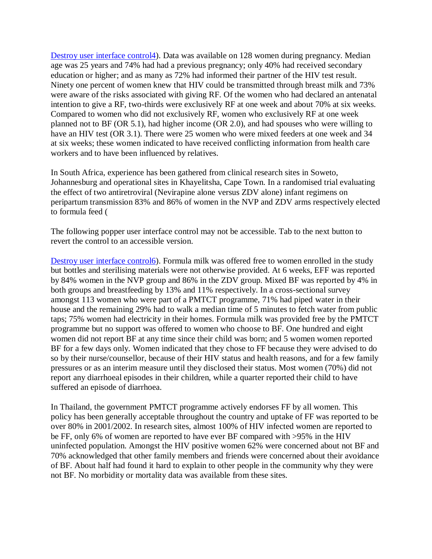[Destroy user interface control4\)](http://hinari-gw.who.int/whalecomwww.ncbi.nlm.nih.gov/whalecom0/pmc/articles/PMC2475579/). Data was available on 128 women during pregnancy. Median age was 25 years and 74% had had a previous pregnancy; only 40% had received secondary education or higher; and as many as 72% had informed their partner of the HIV test result. Ninety one percent of women knew that HIV could be transmitted through breast milk and 73% were aware of the risks associated with giving RF. Of the women who had declared an antenatal intention to give a RF, two-thirds were exclusively RF at one week and about 70% at six weeks. Compared to women who did not exclusively RF, women who exclusively RF at one week planned not to BF (OR 5.1), had higher income (OR 2.0), and had spouses who were willing to have an HIV test (OR 3.1). There were 25 women who were mixed feeders at one week and 34 at six weeks; these women indicated to have received conflicting information from health care workers and to have been influenced by relatives.

In South Africa, experience has been gathered from clinical research sites in Soweto, Johannesburg and operational sites in Khayelitsha, Cape Town. In a randomised trial evaluating the effect of two antiretroviral (Nevirapine alone versus ZDV alone) infant regimens on peripartum transmission 83% and 86% of women in the NVP and ZDV arms respectively elected to formula feed (

The following popper user interface control may not be accessible. Tab to the next button to revert the control to an accessible version.

[Destroy user interface control6\)](http://hinari-gw.who.int/whalecomwww.ncbi.nlm.nih.gov/whalecom0/pmc/articles/PMC2475579/). Formula milk was offered free to women enrolled in the study but bottles and sterilising materials were not otherwise provided. At 6 weeks, EFF was reported by 84% women in the NVP group and 86% in the ZDV group. Mixed BF was reported by 4% in both groups and breastfeeding by 13% and 11% respectively. In a cross-sectional survey amongst 113 women who were part of a PMTCT programme, 71% had piped water in their house and the remaining 29% had to walk a median time of 5 minutes to fetch water from public taps; 75% women had electricity in their homes. Formula milk was provided free by the PMTCT programme but no support was offered to women who choose to BF. One hundred and eight women did not report BF at any time since their child was born; and 5 women women reported BF for a few days only. Women indicated that they chose to FF because they were advised to do so by their nurse/counsellor, because of their HIV status and health reasons, and for a few family pressures or as an interim measure until they disclosed their status. Most women (70%) did not report any diarrhoeal episodes in their children, while a quarter reported their child to have suffered an episode of diarrhoea.

In Thailand, the government PMTCT programme actively endorses FF by all women. This policy has been generally acceptable throughout the country and uptake of FF was reported to be over 80% in 2001/2002. In research sites, almost 100% of HIV infected women are reported to be FF, only 6% of women are reported to have ever BF compared with >95% in the HIV uninfected population. Amongst the HIV positive women 62% were concerned about not BF and 70% acknowledged that other family members and friends were concerned about their avoidance of BF. About half had found it hard to explain to other people in the community why they were not BF. No morbidity or mortality data was available from these sites.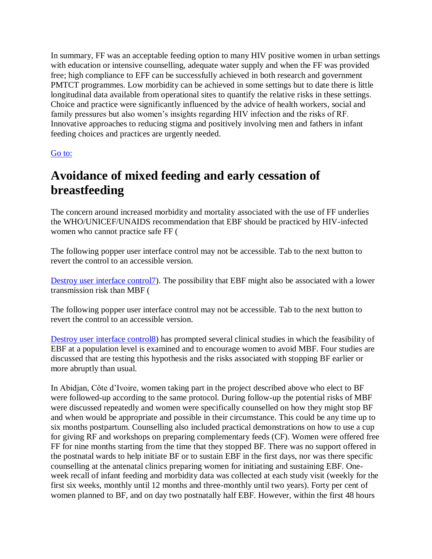In summary, FF was an acceptable feeding option to many HIV positive women in urban settings with education or intensive counselling, adequate water supply and when the FF was provided free; high compliance to EFF can be successfully achieved in both research and government PMTCT programmes. Low morbidity can be achieved in some settings but to date there is little longitudinal data available from operational sites to quantify the relative risks in these settings. Choice and practice were significantly influenced by the advice of health workers, social and family pressures but also women's insights regarding HIV infection and the risks of RF. Innovative approaches to reducing stigma and positively involving men and fathers in infant feeding choices and practices are urgently needed.

#### [Go to:](http://hinari-gw.who.int/whalecomwww.ncbi.nlm.nih.gov/whalecom0/pmc/articles/PMC2475579/)

### **Avoidance of mixed feeding and early cessation of breastfeeding**

The concern around increased morbidity and mortality associated with the use of FF underlies the WHO/UNICEF/UNAIDS recommendation that EBF should be practiced by HIV-infected women who cannot practice safe FF (

The following popper user interface control may not be accessible. Tab to the next button to revert the control to an accessible version.

[Destroy user interface control7\)](http://hinari-gw.who.int/whalecomwww.ncbi.nlm.nih.gov/whalecom0/pmc/articles/PMC2475579/). The possibility that EBF might also be associated with a lower transmission risk than MBF (

The following popper user interface control may not be accessible. Tab to the next button to revert the control to an accessible version.

[Destroy user interface control8\)](http://hinari-gw.who.int/whalecomwww.ncbi.nlm.nih.gov/whalecom0/pmc/articles/PMC2475579/) has prompted several clinical studies in which the feasibility of EBF at a population level is examined and to encourage women to avoid MBF. Four studies are discussed that are testing this hypothesis and the risks associated with stopping BF earlier or more abruptly than usual.

In Abidjan, Côte d'Ivoire, women taking part in the project described above who elect to BF were followed-up according to the same protocol. During follow-up the potential risks of MBF were discussed repeatedly and women were specifically counselled on how they might stop BF and when would be appropriate and possible in their circumstance. This could be any time up to six months postpartum. Counselling also included practical demonstrations on how to use a cup for giving RF and workshops on preparing complementary feeds (CF). Women were offered free FF for nine months starting from the time that they stopped BF. There was no support offered in the postnatal wards to help initiate BF or to sustain EBF in the first days, nor was there specific counselling at the antenatal clinics preparing women for initiating and sustaining EBF. Oneweek recall of infant feeding and morbidity data was collected at each study visit (weekly for the first six weeks, monthly until 12 months and three-monthly until two years). Forty per cent of women planned to BF, and on day two postnatally half EBF. However, within the first 48 hours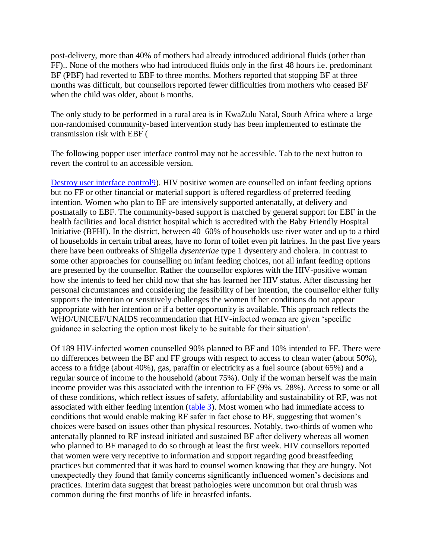post-delivery, more than 40% of mothers had already introduced additional fluids (other than FF).. None of the mothers who had introduced fluids only in the first 48 hours i.e. predominant BF (PBF) had reverted to EBF to three months. Mothers reported that stopping BF at three months was difficult, but counsellors reported fewer difficulties from mothers who ceased BF when the child was older, about 6 months.

The only study to be performed in a rural area is in KwaZulu Natal, South Africa where a large non-randomised community-based intervention study has been implemented to estimate the transmission risk with EBF (

The following popper user interface control may not be accessible. Tab to the next button to revert the control to an accessible version.

[Destroy user interface control9\)](http://hinari-gw.who.int/whalecomwww.ncbi.nlm.nih.gov/whalecom0/pmc/articles/PMC2475579/). HIV positive women are counselled on infant feeding options but no FF or other financial or material support is offered regardless of preferred feeding intention. Women who plan to BF are intensively supported antenatally, at delivery and postnatally to EBF. The community-based support is matched by general support for EBF in the health facilities and local district hospital which is accredited with the Baby Friendly Hospital Initiative (BFHI). In the district, between 40–60% of households use river water and up to a third of households in certain tribal areas, have no form of toilet even pit latrines. In the past five years there have been outbreaks of Shigella *dysenteriae* type 1 dysentery and cholera. In contrast to some other approaches for counselling on infant feeding choices, not all infant feeding options are presented by the counsellor. Rather the counsellor explores with the HIV-positive woman how she intends to feed her child now that she has learned her HIV status. After discussing her personal circumstances and considering the feasibility of her intention, the counsellor either fully supports the intention or sensitively challenges the women if her conditions do not appear appropriate with her intention or if a better opportunity is available. This approach reflects the WHO/UNICEF/UNAIDS recommendation that HIV-infected women are given 'specific guidance in selecting the option most likely to be suitable for their situation'.

Of 189 HIV-infected women counselled 90% planned to BF and 10% intended to FF. There were no differences between the BF and FF groups with respect to access to clean water (about 50%), access to a fridge (about 40%), gas, paraffin or electricity as a fuel source (about 65%) and a regular source of income to the household (about 75%). Only if the woman herself was the main income provider was this associated with the intention to FF (9% vs. 28%). Access to some or all of these conditions, which reflect issues of safety, affordability and sustainability of RF, was not associated with either feeding intention [\(table 3\)](http://hinari-gw.who.int/whalecomwww.ncbi.nlm.nih.gov/whalecom0/pmc/articles/PMC2475579/table/T3/). Most women who had immediate access to conditions that would enable making RF safer in fact chose to BF, suggesting that women's choices were based on issues other than physical resources. Notably, two-thirds of women who antenatally planned to RF instead initiated and sustained BF after delivery whereas all women who planned to BF managed to do so through at least the first week. HIV counsellors reported that women were very receptive to information and support regarding good breastfeeding practices but commented that it was hard to counsel women knowing that they are hungry. Not unexpectedly they found that family concerns significantly influenced women's decisions and practices. Interim data suggest that breast pathologies were uncommon but oral thrush was common during the first months of life in breastfed infants.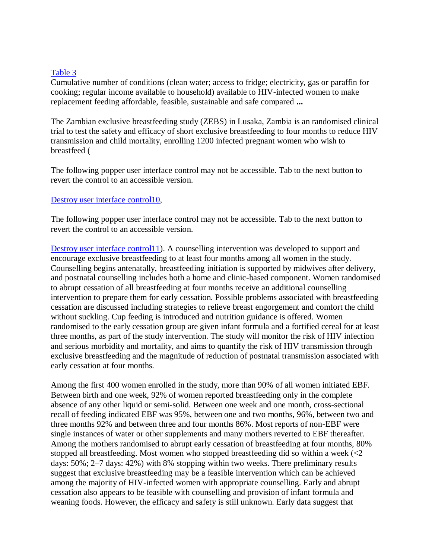#### [Table 3](http://hinari-gw.who.int/whalecomwww.ncbi.nlm.nih.gov/whalecom0/pmc/articles/PMC2475579/table/T3/)

Cumulative number of conditions (clean water; access to fridge; electricity, gas or paraffin for cooking; regular income available to household) available to HIV-infected women to make replacement feeding affordable, feasible, sustainable and safe compared **...**

The Zambian exclusive breastfeeding study (ZEBS) in Lusaka, Zambia is an randomised clinical trial to test the safety and efficacy of short exclusive breastfeeding to four months to reduce HIV transmission and child mortality, enrolling 1200 infected pregnant women who wish to breastfeed (

The following popper user interface control may not be accessible. Tab to the next button to revert the control to an accessible version.

#### [Destroy user interface control10,](http://hinari-gw.who.int/whalecomwww.ncbi.nlm.nih.gov/whalecom0/pmc/articles/PMC2475579/)

The following popper user interface control may not be accessible. Tab to the next button to revert the control to an accessible version.

[Destroy user interface control11\)](http://hinari-gw.who.int/whalecomwww.ncbi.nlm.nih.gov/whalecom0/pmc/articles/PMC2475579/). A counselling intervention was developed to support and encourage exclusive breastfeeding to at least four months among all women in the study. Counselling begins antenatally, breastfeeding initiation is supported by midwives after delivery, and postnatal counselling includes both a home and clinic-based component. Women randomised to abrupt cessation of all breastfeeding at four months receive an additional counselling intervention to prepare them for early cessation. Possible problems associated with breastfeeding cessation are discussed including strategies to relieve breast engorgement and comfort the child without suckling. Cup feeding is introduced and nutrition guidance is offered. Women randomised to the early cessation group are given infant formula and a fortified cereal for at least three months, as part of the study intervention. The study will monitor the risk of HIV infection and serious morbidity and mortality, and aims to quantify the risk of HIV transmission through exclusive breastfeeding and the magnitude of reduction of postnatal transmission associated with early cessation at four months.

Among the first 400 women enrolled in the study, more than 90% of all women initiated EBF. Between birth and one week, 92% of women reported breastfeeding only in the complete absence of any other liquid or semi-solid. Between one week and one month, cross-sectional recall of feeding indicated EBF was 95%, between one and two months, 96%, between two and three months 92% and between three and four months 86%. Most reports of non-EBF were single instances of water or other supplements and many mothers reverted to EBF thereafter. Among the mothers randomised to abrupt early cessation of breastfeeding at four months, 80% stopped all breastfeeding. Most women who stopped breastfeeding did so within a week (<2 days: 50%; 2–7 days: 42%) with 8% stopping within two weeks. There preliminary results suggest that exclusive breastfeeding may be a feasible intervention which can be achieved among the majority of HIV-infected women with appropriate counselling. Early and abrupt cessation also appears to be feasible with counselling and provision of infant formula and weaning foods. However, the efficacy and safety is still unknown. Early data suggest that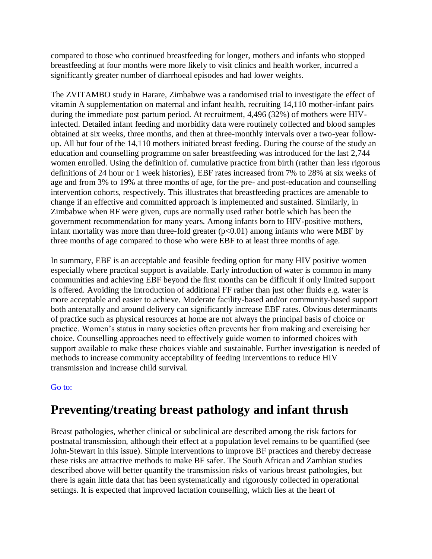compared to those who continued breastfeeding for longer, mothers and infants who stopped breastfeeding at four months were more likely to visit clinics and health worker, incurred a significantly greater number of diarrhoeal episodes and had lower weights.

The ZVITAMBO study in Harare, Zimbabwe was a randomised trial to investigate the effect of vitamin A supplementation on maternal and infant health, recruiting 14,110 mother-infant pairs during the immediate post partum period. At recruitment, 4,496 (32%) of mothers were HIVinfected. Detailed infant feeding and morbidity data were routinely collected and blood samples obtained at six weeks, three months, and then at three-monthly intervals over a two-year followup. All but four of the 14,110 mothers initiated breast feeding. During the course of the study an education and counselling programme on safer breastfeeding was introduced for the last 2,744 women enrolled. Using the definition of. cumulative practice from birth (rather than less rigorous definitions of 24 hour or 1 week histories), EBF rates increased from 7% to 28% at six weeks of age and from 3% to 19% at three months of age, for the pre- and post-education and counselling intervention cohorts, respectively. This illustrates that breastfeeding practices are amenable to change if an effective and committed approach is implemented and sustained. Similarly, in Zimbabwe when RF were given, cups are normally used rather bottle which has been the government recommendation for many years. Among infants born to HIV-positive mothers, infant mortality was more than three-fold greater  $(p<0.01)$  among infants who were MBF by three months of age compared to those who were EBF to at least three months of age.

In summary, EBF is an acceptable and feasible feeding option for many HIV positive women especially where practical support is available. Early introduction of water is common in many communities and achieving EBF beyond the first months can be difficult if only limited support is offered. Avoiding the introduction of additional FF rather than just other fluids e.g. water is more acceptable and easier to achieve. Moderate facility-based and/or community-based support both antenatally and around delivery can significantly increase EBF rates. Obvious determinants of practice such as physical resources at home are not always the principal basis of choice or practice. Women's status in many societies often prevents her from making and exercising her choice. Counselling approaches need to effectively guide women to informed choices with support available to make these choices viable and sustainable. Further investigation is needed of methods to increase community acceptability of feeding interventions to reduce HIV transmission and increase child survival.

#### [Go to:](http://hinari-gw.who.int/whalecomwww.ncbi.nlm.nih.gov/whalecom0/pmc/articles/PMC2475579/)

### **Preventing/treating breast pathology and infant thrush**

Breast pathologies, whether clinical or subclinical are described among the risk factors for postnatal transmission, although their effect at a population level remains to be quantified (see John-Stewart in this issue). Simple interventions to improve BF practices and thereby decrease these risks are attractive methods to make BF safer. The South African and Zambian studies described above will better quantify the transmission risks of various breast pathologies, but there is again little data that has been systematically and rigorously collected in operational settings. It is expected that improved lactation counselling, which lies at the heart of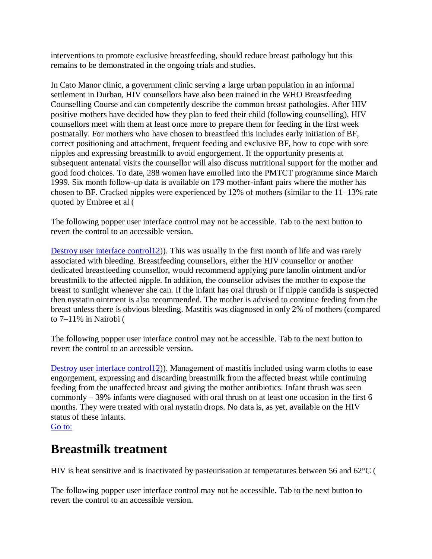interventions to promote exclusive breastfeeding, should reduce breast pathology but this remains to be demonstrated in the ongoing trials and studies.

In Cato Manor clinic, a government clinic serving a large urban population in an informal settlement in Durban, HIV counsellors have also been trained in the WHO Breastfeeding Counselling Course and can competently describe the common breast pathologies. After HIV positive mothers have decided how they plan to feed their child (following counselling), HIV counsellors meet with them at least once more to prepare them for feeding in the first week postnatally. For mothers who have chosen to breastfeed this includes early initiation of BF, correct positioning and attachment, frequent feeding and exclusive BF, how to cope with sore nipples and expressing breastmilk to avoid engorgement. If the opportunity presents at subsequent antenatal visits the counsellor will also discuss nutritional support for the mother and good food choices. To date, 288 women have enrolled into the PMTCT programme since March 1999. Six month follow-up data is available on 179 mother-infant pairs where the mother has chosen to BF. Cracked nipples were experienced by 12% of mothers (similar to the 11–13% rate quoted by Embree et al (

The following popper user interface control may not be accessible. Tab to the next button to revert the control to an accessible version.

[Destroy user interface control12\)](http://hinari-gw.who.int/whalecomwww.ncbi.nlm.nih.gov/whalecom0/pmc/articles/PMC2475579/). This was usually in the first month of life and was rarely associated with bleeding. Breastfeeding counsellors, either the HIV counsellor or another dedicated breastfeeding counsellor, would recommend applying pure lanolin ointment and/or breastmilk to the affected nipple. In addition, the counsellor advises the mother to expose the breast to sunlight whenever she can. If the infant has oral thrush or if nipple candida is suspected then nystatin ointment is also recommended. The mother is advised to continue feeding from the breast unless there is obvious bleeding. Mastitis was diagnosed in only 2% of mothers (compared to 7–11% in Nairobi (

The following popper user interface control may not be accessible. Tab to the next button to revert the control to an accessible version.

[Destroy user interface control12\)](http://hinari-gw.who.int/whalecomwww.ncbi.nlm.nih.gov/whalecom0/pmc/articles/PMC2475579/)). Management of mastitis included using warm cloths to ease engorgement, expressing and discarding breastmilk from the affected breast while continuing feeding from the unaffected breast and giving the mother antibiotics. Infant thrush was seen commonly – 39% infants were diagnosed with oral thrush on at least one occasion in the first 6 months. They were treated with oral nystatin drops. No data is, as yet, available on the HIV status of these infants.

[Go to:](http://hinari-gw.who.int/whalecomwww.ncbi.nlm.nih.gov/whalecom0/pmc/articles/PMC2475579/)

### **Breastmilk treatment**

HIV is heat sensitive and is inactivated by pasteurisation at temperatures between 56 and 62°C (

The following popper user interface control may not be accessible. Tab to the next button to revert the control to an accessible version.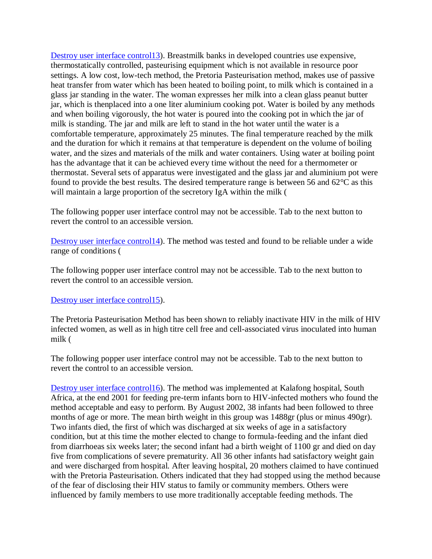[Destroy user interface control13\)](http://hinari-gw.who.int/whalecomwww.ncbi.nlm.nih.gov/whalecom0/pmc/articles/PMC2475579/). Breastmilk banks in developed countries use expensive, thermostatically controlled, pasteurising equipment which is not available in resource poor settings. A low cost, low-tech method, the Pretoria Pasteurisation method, makes use of passive heat transfer from water which has been heated to boiling point, to milk which is contained in a glass jar standing in the water. The woman expresses her milk into a clean glass peanut butter jar, which is thenplaced into a one liter aluminium cooking pot. Water is boiled by any methods and when boiling vigorously, the hot water is poured into the cooking pot in which the jar of milk is standing. The jar and milk are left to stand in the hot water until the water is a comfortable temperature, approximately 25 minutes. The final temperature reached by the milk and the duration for which it remains at that temperature is dependent on the volume of boiling water, and the sizes and materials of the milk and water containers. Using water at boiling point has the advantage that it can be achieved every time without the need for a thermometer or thermostat. Several sets of apparatus were investigated and the glass jar and aluminium pot were found to provide the best results. The desired temperature range is between 56 and 62°C as this will maintain a large proportion of the secretory IgA within the milk (

The following popper user interface control may not be accessible. Tab to the next button to revert the control to an accessible version.

[Destroy user interface control14\)](http://hinari-gw.who.int/whalecomwww.ncbi.nlm.nih.gov/whalecom0/pmc/articles/PMC2475579/). The method was tested and found to be reliable under a wide range of conditions (

The following popper user interface control may not be accessible. Tab to the next button to revert the control to an accessible version.

#### [Destroy user interface control15\)](http://hinari-gw.who.int/whalecomwww.ncbi.nlm.nih.gov/whalecom0/pmc/articles/PMC2475579/).

The Pretoria Pasteurisation Method has been shown to reliably inactivate HIV in the milk of HIV infected women, as well as in high titre cell free and cell-associated virus inoculated into human milk (

The following popper user interface control may not be accessible. Tab to the next button to revert the control to an accessible version.

[Destroy user interface control16\)](http://hinari-gw.who.int/whalecomwww.ncbi.nlm.nih.gov/whalecom0/pmc/articles/PMC2475579/). The method was implemented at Kalafong hospital, South Africa, at the end 2001 for feeding pre-term infants born to HIV-infected mothers who found the method acceptable and easy to perform. By August 2002, 38 infants had been followed to three months of age or more. The mean birth weight in this group was 1488gr (plus or minus 490gr). Two infants died, the first of which was discharged at six weeks of age in a satisfactory condition, but at this time the mother elected to change to formula-feeding and the infant died from diarrhoeas six weeks later; the second infant had a birth weight of 1100 gr and died on day five from complications of severe prematurity. All 36 other infants had satisfactory weight gain and were discharged from hospital. After leaving hospital, 20 mothers claimed to have continued with the Pretoria Pasteurisation. Others indicated that they had stopped using the method because of the fear of disclosing their HIV status to family or community members. Others were influenced by family members to use more traditionally acceptable feeding methods. The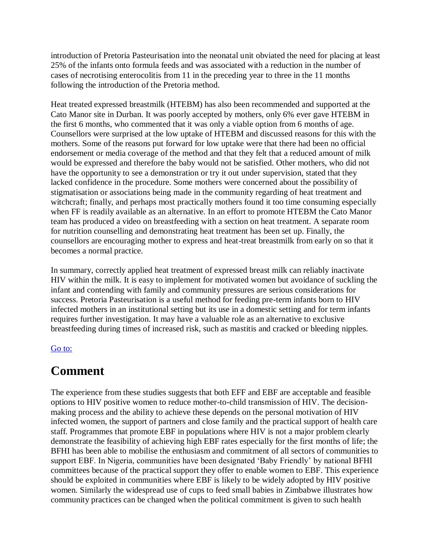introduction of Pretoria Pasteurisation into the neonatal unit obviated the need for placing at least 25% of the infants onto formula feeds and was associated with a reduction in the number of cases of necrotising enterocolitis from 11 in the preceding year to three in the 11 months following the introduction of the Pretoria method.

Heat treated expressed breastmilk (HTEBM) has also been recommended and supported at the Cato Manor site in Durban. It was poorly accepted by mothers, only 6% ever gave HTEBM in the first 6 months, who commented that it was only a viable option from 6 months of age. Counsellors were surprised at the low uptake of HTEBM and discussed reasons for this with the mothers. Some of the reasons put forward for low uptake were that there had been no official endorsement or media coverage of the method and that they felt that a reduced amount of milk would be expressed and therefore the baby would not be satisfied. Other mothers, who did not have the opportunity to see a demonstration or try it out under supervision, stated that they lacked confidence in the procedure. Some mothers were concerned about the possibility of stigmatisation or associations being made in the community regarding of heat treatment and witchcraft; finally, and perhaps most practically mothers found it too time consuming especially when FF is readily available as an alternative. In an effort to promote HTEBM the Cato Manor team has produced a video on breastfeeding with a section on heat treatment. A separate room for nutrition counselling and demonstrating heat treatment has been set up. Finally, the counsellors are encouraging mother to express and heat-treat breastmilk from early on so that it becomes a normal practice.

In summary, correctly applied heat treatment of expressed breast milk can reliably inactivate HIV within the milk. It is easy to implement for motivated women but avoidance of suckling the infant and contending with family and community pressures are serious considerations for success. Pretoria Pasteurisation is a useful method for feeding pre-term infants born to HIV infected mothers in an institutional setting but its use in a domestic setting and for term infants requires further investigation. It may have a valuable role as an alternative to exclusive breastfeeding during times of increased risk, such as mastitis and cracked or bleeding nipples.

#### [Go to:](http://hinari-gw.who.int/whalecomwww.ncbi.nlm.nih.gov/whalecom0/pmc/articles/PMC2475579/)

### **Comment**

The experience from these studies suggests that both EFF and EBF are acceptable and feasible options to HIV positive women to reduce mother-to-child transmission of HIV. The decisionmaking process and the ability to achieve these depends on the personal motivation of HIV infected women, the support of partners and close family and the practical support of health care staff. Programmes that promote EBF in populations where HIV is not a major problem clearly demonstrate the feasibility of achieving high EBF rates especially for the first months of life; the BFHI has been able to mobilise the enthusiasm and commitment of all sectors of communities to support EBF. In Nigeria, communities have been designated 'Baby Friendly' by national BFHI committees because of the practical support they offer to enable women to EBF. This experience should be exploited in communities where EBF is likely to be widely adopted by HIV positive women. Similarly the widespread use of cups to feed small babies in Zimbabwe illustrates how community practices can be changed when the political commitment is given to such health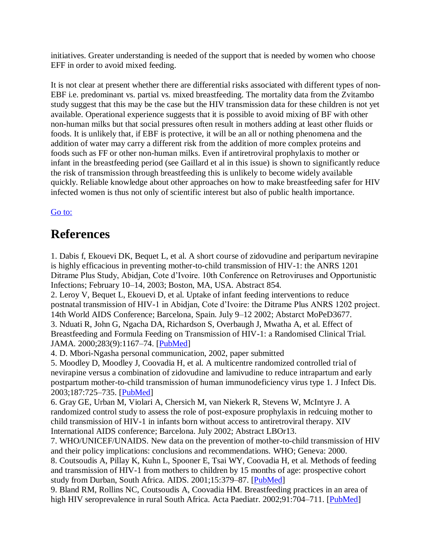initiatives. Greater understanding is needed of the support that is needed by women who choose EFF in order to avoid mixed feeding.

It is not clear at present whether there are differential risks associated with different types of non-EBF i.e. predominant vs. partial vs. mixed breastfeeding. The mortality data from the Zvitambo study suggest that this may be the case but the HIV transmission data for these children is not yet available. Operational experience suggests that it is possible to avoid mixing of BF with other non-human milks but that social pressures often result in mothers adding at least other fluids or foods. It is unlikely that, if EBF is protective, it will be an all or nothing phenomena and the addition of water may carry a different risk from the addition of more complex proteins and foods such as FF or other non-human milks. Even if antiretroviral prophylaxis to mother or infant in the breastfeeding period (see Gaillard et al in this issue) is shown to significantly reduce the risk of transmission through breastfeeding this is unlikely to become widely available quickly. Reliable knowledge about other approaches on how to make breastfeeding safer for HIV infected women is thus not only of scientific interest but also of public health importance.

#### [Go to:](http://hinari-gw.who.int/whalecomwww.ncbi.nlm.nih.gov/whalecom0/pmc/articles/PMC2475579/)

### **References**

1. Dabis f, Ekouevi DK, Bequet L, et al. A short course of zidovudine and peripartum nevirapine is highly efficacious in preventing mother-to-child transmission of HIV-1: the ANRS 1201 Ditrame Plus Study, Abidjan, Cote d'Ivoire. 10th Conference on Retroviruses and Opportunistic Infections; February 10–14, 2003; Boston, MA, USA. Abstract 854.

2. Leroy V, Bequet L, Ekouevi D, et al. Uptake of infant feeding interventions to reduce postnatal transmission of HIV-1 in Abidjan, Cote d'Ivoire: the Ditrame Plus ANRS 1202 project. 14th World AIDS Conference; Barcelona, Spain. July 9–12 2002; Abstarct MoPeD3677. 3. Nduati R, John G, Ngacha DA, Richardson S, Overbaugh J, Mwatha A, et al. Effect of Breastfeeding and Formula Feeding on Transmission of HIV-1: a Randomised Clinical Trial. JAMA. 2000;283(9):1167–74. [\[PubMed\]](http://hinari-gw.who.int/whalecomwww.ncbi.nlm.nih.gov/whalecom0/pubmed/10703779)

4. D. Mbori-Ngasha personal communication, 2002, paper submitted

5. Moodley D, Moodley J, Coovadia H, et al. A multicentre randomized controlled trial of nevirapine versus a combination of zidovudine and lamivudine to reduce intrapartum and early postpartum mother-to-child transmission of human immunodeficiency virus type 1. J Infect Dis. 2003;187:725–735. [\[PubMed\]](http://hinari-gw.who.int/whalecomwww.ncbi.nlm.nih.gov/whalecom0/pubmed/12599045)

6. Gray GE, Urban M, Violari A, Chersich M, van Niekerk R, Stevens W, McIntyre J. A randomized control study to assess the role of post-exposure prophylaxis in redcuing mother to child transmission of HIV-1 in infants born without access to antiretroviral therapy. XIV International AIDS conference; Barcelona. July 2002; Abstract LBOr13.

7. WHO/UNICEF/UNAIDS. New data on the prevention of mother-to-child transmission of HIV and their policy implications: conclusions and recommendations. WHO; Geneva: 2000.

8. Coutsoudis A, Pillay K, Kuhn L, Spooner E, Tsai WY, Coovadia H, et al. Methods of feeding and transmission of HIV-1 from mothers to children by 15 months of age: prospective cohort study from Durban, South Africa. AIDS. 2001;15:379–87. [\[PubMed\]](http://hinari-gw.who.int/whalecomwww.ncbi.nlm.nih.gov/whalecom0/pubmed/11273218)

9. Bland RM, Rollins NC, Coutsoudis A, Coovadia HM. Breastfeeding practices in an area of high HIV seroprevalence in rural South Africa. Acta Paediatr. 2002;91:704–711. [\[PubMed\]](http://hinari-gw.who.int/whalecomwww.ncbi.nlm.nih.gov/whalecom0/pubmed/12162606)